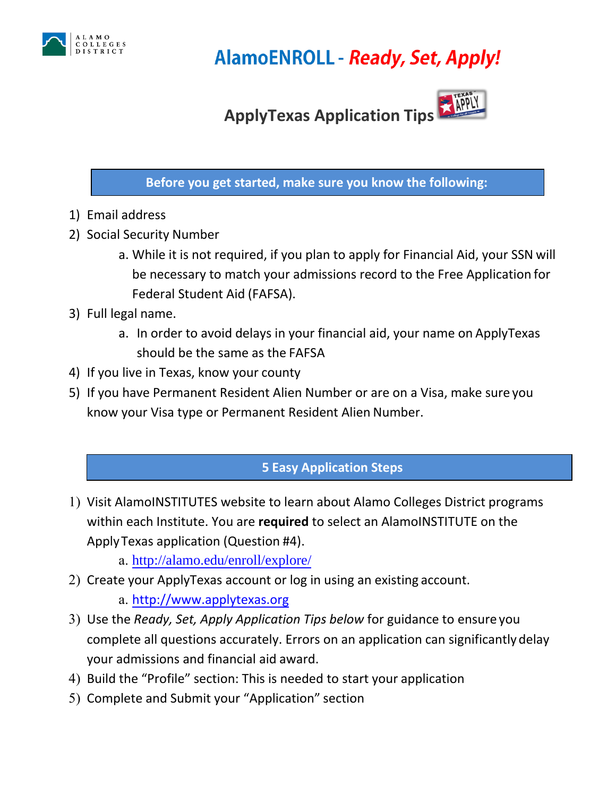

## **AlamoENROLL - Ready, Set, Apply!**

# **ApplyTexas Application Tips**

## **Before you get started, make sure you know the following:**

- 1) Email address
- 2) Social Security Number
	- a. While it is not required, if you plan to apply for Financial Aid, your SSN will be necessary to match your admissions record to the Free Application for Federal Student Aid (FAFSA).
- 3) Full legal name.
	- a. In order to avoid delays in your financial aid, your name on ApplyTexas should be the same as the FAFSA
- 4) If you live in Texas, know your county
- 5) If you have Permanent Resident Alien Number or are on a Visa, make sure you know your Visa type or Permanent Resident Alien Number.

## **5 Easy Application Steps**

- 1) Visit AlamoINSTITUTES website to learn about Alamo Colleges District programs within each Institute. You are **required** to select an AlamoINSTITUTE on the Apply Texas application (Question #4).
	- a. <http://alamo.edu/enroll/explore/>
- 2) Create your ApplyTexas account or log in using an existing account.
	- a. [http://www.applytexas.org](http://www.applytexas.org/)
- 3) Use the *Ready, Set, Apply Application Tips below* for guidance to ensure you complete all questions accurately. Errors on an application can significantly delay your admissions and financial aid award.
- 4) Build the "Profile" section: This is needed to start your application
- 5) Complete and Submit your "Application" section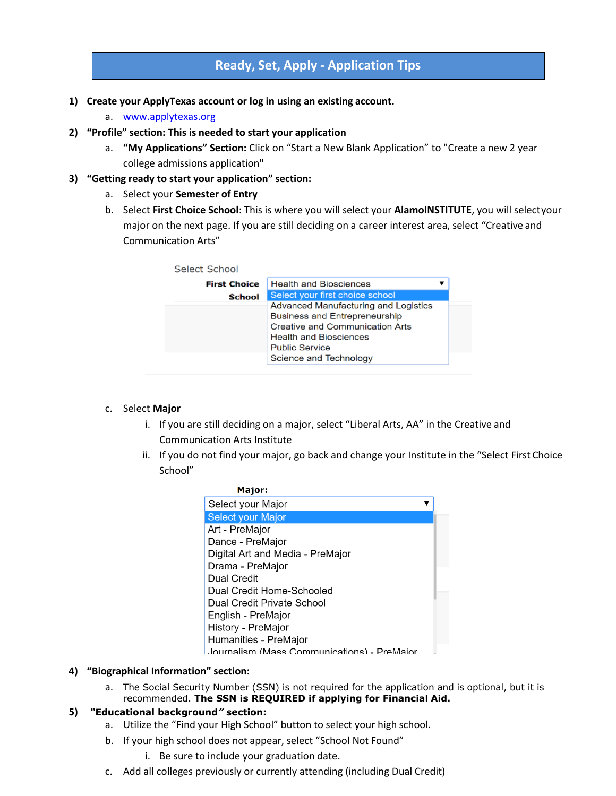## **Ready, Set, Apply - Application Tips**

- **1) Create your ApplyTexas account or log in using an existing account.**
	- a. [www.applytexas.org](http://www.applytexas.org/)
- **2) "Profile" section: This is needed to start your application**
	- a. **"My Applications" Section:** Click on "Start a New Blank Application" to "Create a new 2 year college admissions application"
- **3) "Getting ready to start your application" section:**
	- a. Select your **Semester of Entry**
	- b. Select **First Choice School**: This is where you will select your **AlamoINSTITUTE**, you will selectyour major on the next page. If you are still deciding on a career interest area, select "Creative and Communication Arts"



#### c. Select **Major**

- i. If you are still deciding on a major, select "Liberal Arts, AA" in the Creative and Communication Arts Institute
- ii. If you do not find your major, go back and change your Institute in the "Select First Choice School"

| Major:                                      |
|---------------------------------------------|
| Select your Major                           |
| <b>Select your Major</b>                    |
| Art - PreMajor                              |
| Dance - PreMajor                            |
| Digital Art and Media - PreMajor            |
| Drama - PreMajor                            |
| Dual Credit                                 |
| Dual Credit Home-Schooled                   |
| Dual Credit Private School                  |
| English - PreMajor                          |
| History - PreMajor                          |
| Humanities - PreMajor                       |
| Journalism (Mass Communications) - PreMaior |

#### **4) "Biographical Information" section:**

a. The Social Security Number (SSN) is not required for the application and is optional, but it is recommended. **The SSN is REQUIRED if applying for Financial Aid.**

#### **5)** *"***Educational background***"* **section:**

- a. Utilize the "Find your High School" button to select your high school.
- b. If your high school does not appear, select "School Not Found"
	- i. Be sure to include your graduation date.
- c. Add all colleges previously or currently attending (including Dual Credit)